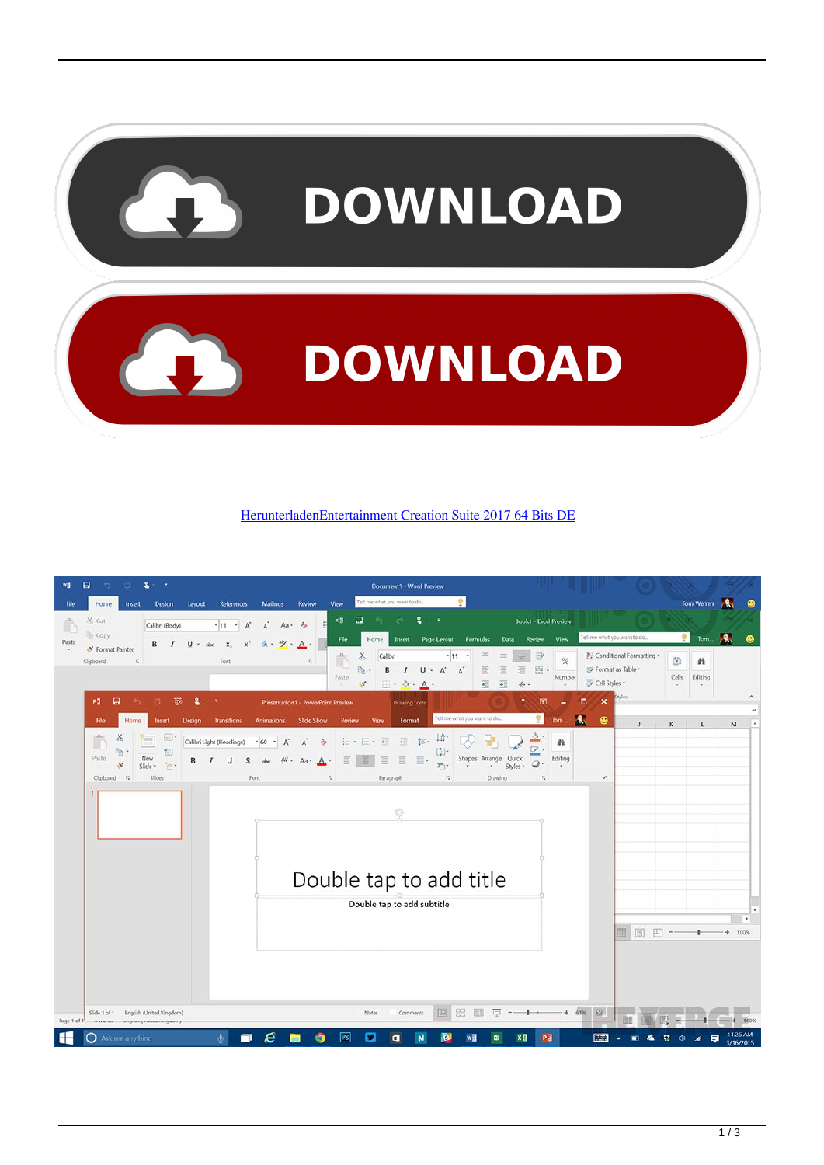

[HerunterladenEntertainment Creation Suite 2017 64 Bits DE](http://evacdir.com/SGVydW50ZXJsYWRlbkVudGVydGFpbm1lbnQgQ3JlYXRpb24gU3VpdGUgMjAxNyA2NCBCaXRzIERFSGV/hairless/ZG93bmxvYWR8dGo5TXpSaGRURjZmSHd4TlRnM05ERTNNemc1Zkh3eU16TTJmSHdvVFU5T1UxUkZVaWtnU0dWeWIydDFJRnRRUkVaZA/duuuh?/impartiality/esconder)

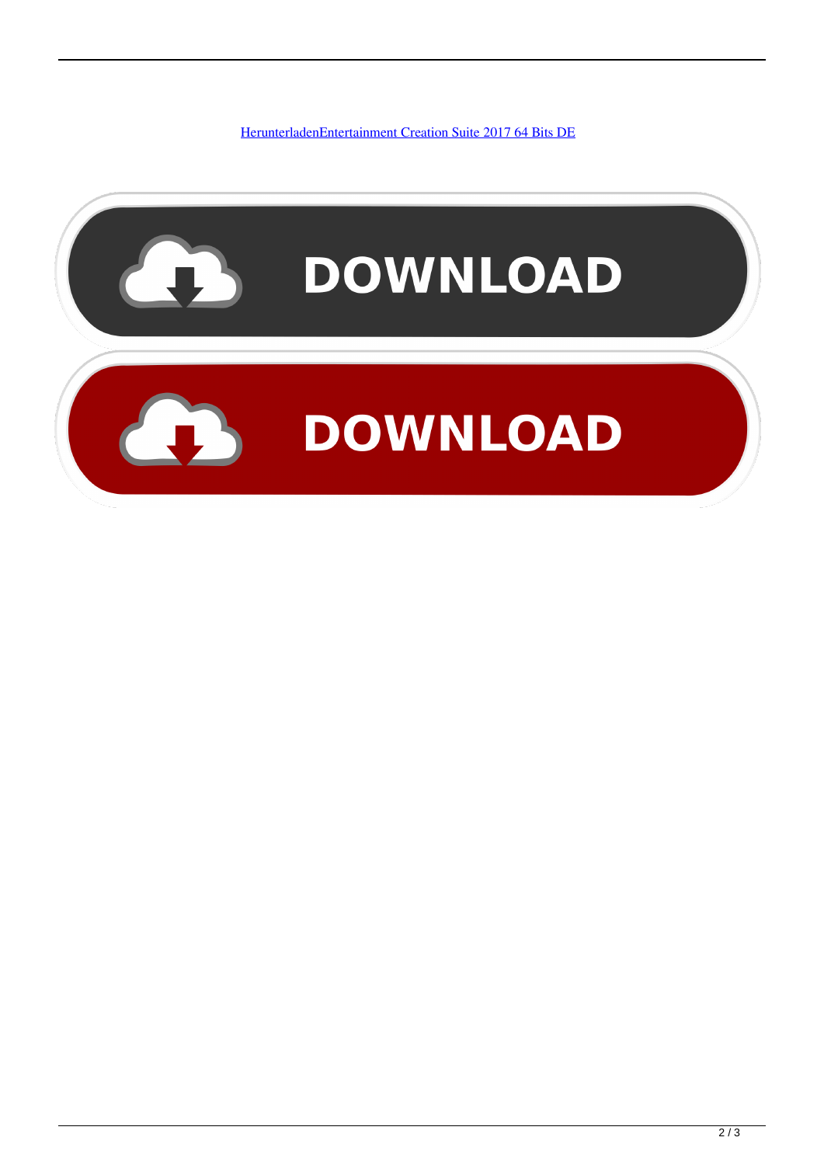[HerunterladenEntertainment Creation Suite 2017 64 Bits DE](http://evacdir.com/SGVydW50ZXJsYWRlbkVudGVydGFpbm1lbnQgQ3JlYXRpb24gU3VpdGUgMjAxNyA2NCBCaXRzIERFSGV/hairless/ZG93bmxvYWR8dGo5TXpSaGRURjZmSHd4TlRnM05ERTNNemc1Zkh3eU16TTJmSHdvVFU5T1UxUkZVaWtnU0dWeWIydDFJRnRRUkVaZA/duuuh?/impartiality/esconder)